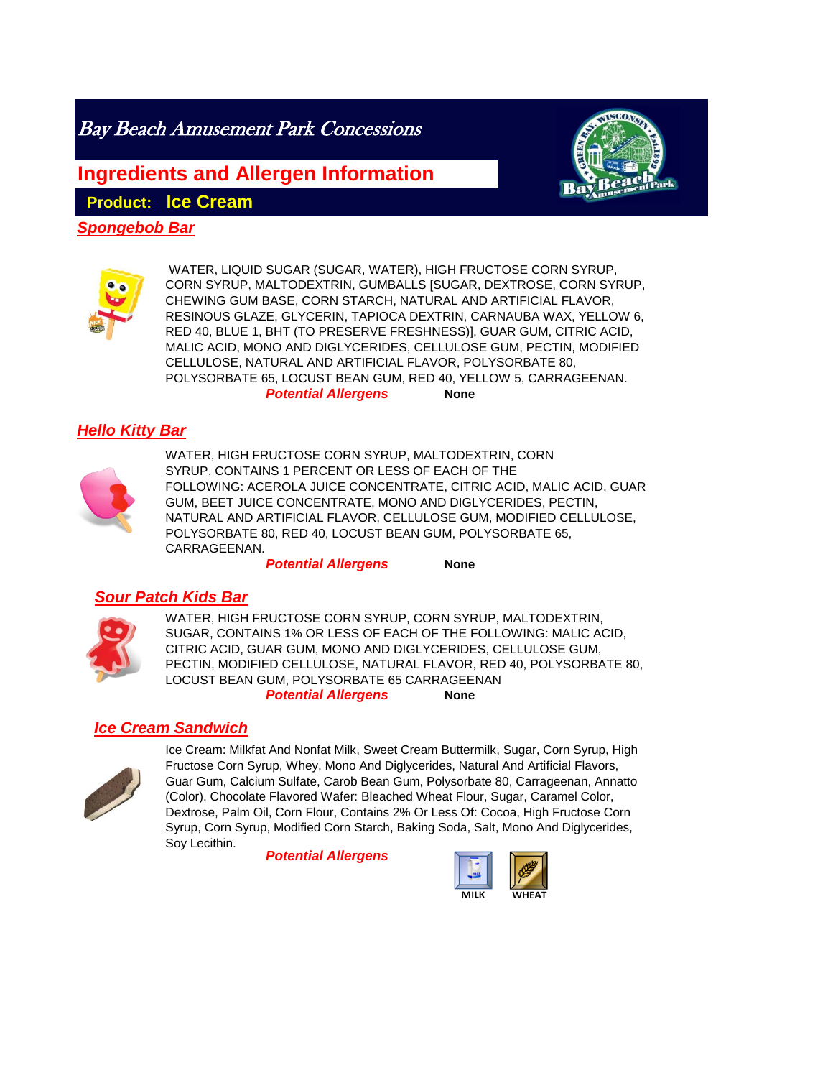Bay Beach Amusement Park Concessions

**Ingredients and Allergen Information**

**Product: Ice Cream** 

*Spongebob Bar*



**None** WATER, LIQUID SUGAR (SUGAR, WATER), HIGH FRUCTOSE CORN SYRUP, CORN SYRUP, MALTODEXTRIN, GUMBALLS [SUGAR, DEXTROSE, CORN SYRUP, CHEWING GUM BASE, CORN STARCH, NATURAL AND ARTIFICIAL FLAVOR, RESINOUS GLAZE, GLYCERIN, TAPIOCA DEXTRIN, CARNAUBA WAX, YELLOW 6, RED 40, BLUE 1, BHT (TO PRESERVE FRESHNESS)], GUAR GUM, CITRIC ACID, MALIC ACID, MONO AND DIGLYCERIDES, CELLULOSE GUM, PECTIN, MODIFIED CELLULOSE, NATURAL AND ARTIFICIAL FLAVOR, POLYSORBATE 80, POLYSORBATE 65, LOCUST BEAN GUM, RED 40, YELLOW 5, CARRAGEENAN.

*Potential Allergens*

# *Hello Kitty Bar*



WATER, HIGH FRUCTOSE CORN SYRUP, MALTODEXTRIN, CORN SYRUP, CONTAINS 1 PERCENT OR LESS OF EACH OF THE FOLLOWING: ACEROLA JUICE CONCENTRATE, CITRIC ACID, MALIC ACID, GUAR GUM, BEET JUICE CONCENTRATE, MONO AND DIGLYCERIDES, PECTIN, NATURAL AND ARTIFICIAL FLAVOR, CELLULOSE GUM, MODIFIED CELLULOSE, POLYSORBATE 80, RED 40, LOCUST BEAN GUM, POLYSORBATE 65, CARRAGEENAN.

**None** *Potential Allergens*

## *Sour Patch Kids Bar*



WATER, HIGH FRUCTOSE CORN SYRUP, CORN SYRUP, MALTODEXTRIN, SUGAR, CONTAINS 1% OR LESS OF EACH OF THE FOLLOWING: MALIC ACID, CITRIC ACID, GUAR GUM, MONO AND DIGLYCERIDES, CELLULOSE GUM, PECTIN, MODIFIED CELLULOSE, NATURAL FLAVOR, RED 40, POLYSORBATE 80, LOCUST BEAN GUM, POLYSORBATE 65 CARRAGEENAN

#### **None** *Potential Allergens*

## *Ice Cream Sandwich*



Ice Cream: Milkfat And Nonfat Milk, Sweet Cream Buttermilk, Sugar, Corn Syrup, High Fructose Corn Syrup, Whey, Mono And Diglycerides, Natural And Artificial Flavors, Guar Gum, Calcium Sulfate, Carob Bean Gum, Polysorbate 80, Carrageenan, Annatto (Color). Chocolate Flavored Wafer: Bleached Wheat Flour, Sugar, Caramel Color, Dextrose, Palm Oil, Corn Flour, Contains 2% Or Less Of: Cocoa, High Fructose Corn Syrup, Corn Syrup, Modified Corn Starch, Baking Soda, Salt, Mono And Diglycerides, Soy Lecithin.

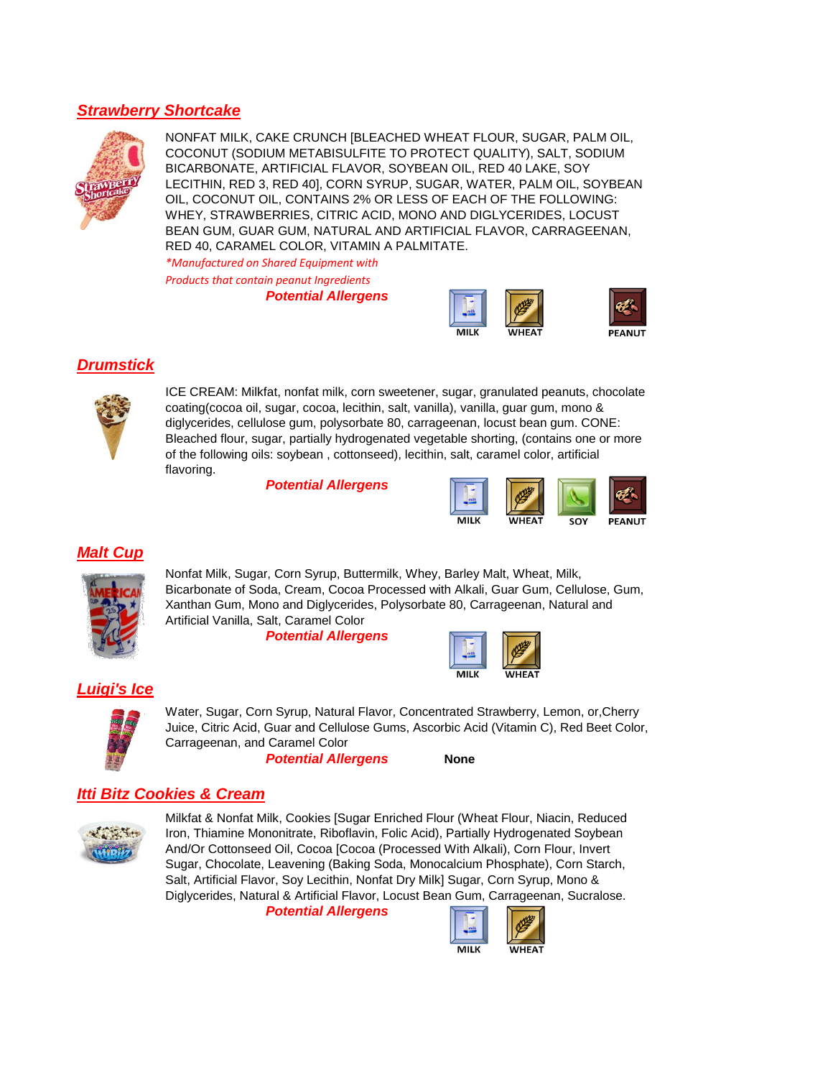## *Strawberry Shortcake*



NONFAT MILK, CAKE CRUNCH [BLEACHED WHEAT FLOUR, SUGAR, PALM OIL, COCONUT (SODIUM METABISULFITE TO PROTECT QUALITY), SALT, SODIUM BICARBONATE, ARTIFICIAL FLAVOR, SOYBEAN OIL, RED 40 LAKE, SOY LECITHIN, RED 3, RED 40], CORN SYRUP, SUGAR, WATER, PALM OIL, SOYBEAN OIL, COCONUT OIL, CONTAINS 2% OR LESS OF EACH OF THE FOLLOWING: WHEY, STRAWBERRIES, CITRIC ACID, MONO AND DIGLYCERIDES, LOCUST BEAN GUM, GUAR GUM, NATURAL AND ARTIFICIAL FLAVOR, CARRAGEENAN, RED 40, CARAMEL COLOR, VITAMIN A PALMITATE.

*\*Manufactured on Shared Equipment with* 

*Products that contain peanut Ingredients*

*Potential Allergens*



## *Drumstick*



ICE CREAM: Milkfat, nonfat milk, corn sweetener, sugar, granulated peanuts, chocolate coating(cocoa oil, sugar, cocoa, lecithin, salt, vanilla), vanilla, guar gum, mono & diglycerides, cellulose gum, polysorbate 80, carrageenan, locust bean gum. CONE: Bleached flour, sugar, partially hydrogenated vegetable shorting, (contains one or more of the following oils: soybean , cottonseed), lecithin, salt, caramel color, artificial flavoring.

*Potential Allergens*



#### *Malt Cup*



Nonfat Milk, Sugar, Corn Syrup, Buttermilk, Whey, Barley Malt, Wheat, Milk, Bicarbonate of Soda, Cream, Cocoa Processed with Alkali, Guar Gum, Cellulose, Gum, Xanthan Gum, Mono and Diglycerides, Polysorbate 80, Carrageenan, Natural and Artificial Vanilla, Salt, Caramel Color

*Potential Allergens*



## *Luigi's Ice*



Water, Sugar, Corn Syrup, Natural Flavor, Concentrated Strawberry, Lemon, or,Cherry Juice, Citric Acid, Guar and Cellulose Gums, Ascorbic Acid (Vitamin C), Red Beet Color, Carrageenan, and Caramel Color

*Potential Allergens*

**None**

# *Itti Bitz Cookies & Cream*



Milkfat & Nonfat Milk, Cookies [Sugar Enriched Flour (Wheat Flour, Niacin, Reduced Iron, Thiamine Mononitrate, Riboflavin, Folic Acid), Partially Hydrogenated Soybean And/Or Cottonseed Oil, Cocoa [Cocoa (Processed With Alkali), Corn Flour, Invert Sugar, Chocolate, Leavening (Baking Soda, Monocalcium Phosphate), Corn Starch, Salt, Artificial Flavor, Soy Lecithin, Nonfat Dry Milk] Sugar, Corn Syrup, Mono & Diglycerides, Natural & Artificial Flavor, Locust Bean Gum, Carrageenan, Sucralose.

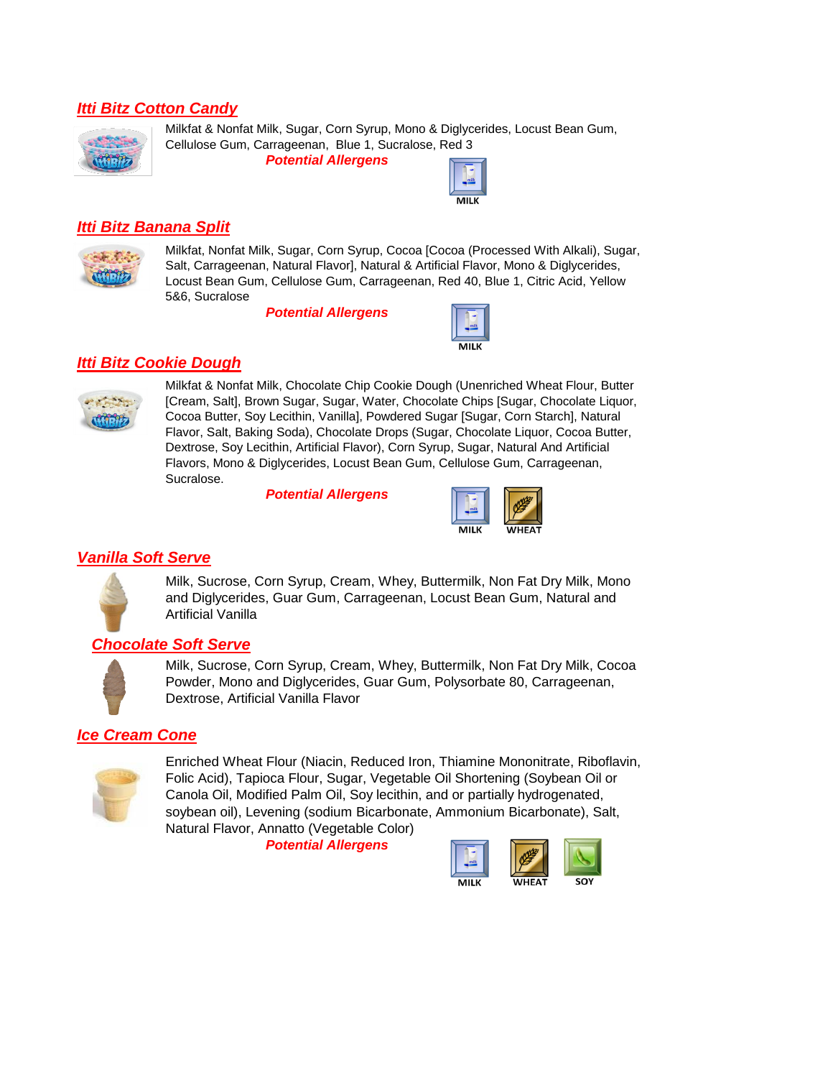## *Itti Bitz Cotton Candy*



Milkfat & Nonfat Milk, Sugar, Corn Syrup, Mono & Diglycerides, Locust Bean Gum, Cellulose Gum, Carrageenan, Blue 1, Sucralose, Red 3

*Potential Allergens*



#### *Itti Bitz Banana Split*



Milkfat, Nonfat Milk, Sugar, Corn Syrup, Cocoa [Cocoa (Processed With Alkali), Sugar, Salt, Carrageenan, Natural Flavor], Natural & Artificial Flavor, Mono & Diglycerides, Locust Bean Gum, Cellulose Gum, Carrageenan, Red 40, Blue 1, Citric Acid, Yellow 5&6, Sucralose

*Potential Allergens*



#### *Itti Bitz Cookie Dough*



Milkfat & Nonfat Milk, Chocolate Chip Cookie Dough (Unenriched Wheat Flour, Butter [Cream, Salt], Brown Sugar, Sugar, Water, Chocolate Chips [Sugar, Chocolate Liquor, Cocoa Butter, Soy Lecithin, Vanilla], Powdered Sugar [Sugar, Corn Starch], Natural Flavor, Salt, Baking Soda), Chocolate Drops (Sugar, Chocolate Liquor, Cocoa Butter, Dextrose, Soy Lecithin, Artificial Flavor), Corn Syrup, Sugar, Natural And Artificial Flavors, Mono & Diglycerides, Locust Bean Gum, Cellulose Gum, Carrageenan, Sucralose.

*Potential Allergens*



## *Vanilla Soft Serve*



Milk, Sucrose, Corn Syrup, Cream, Whey, Buttermilk, Non Fat Dry Milk, Mono and Diglycerides, Guar Gum, Carrageenan, Locust Bean Gum, Natural and Artificial Vanilla

#### *Chocolate Soft Serve*



Milk, Sucrose, Corn Syrup, Cream, Whey, Buttermilk, Non Fat Dry Milk, Cocoa Powder, Mono and Diglycerides, Guar Gum, Polysorbate 80, Carrageenan, Dextrose, Artificial Vanilla Flavor

## *Ice Cream Cone*



Enriched Wheat Flour (Niacin, Reduced Iron, Thiamine Mononitrate, Riboflavin, Folic Acid), Tapioca Flour, Sugar, Vegetable Oil Shortening (Soybean Oil or Canola Oil, Modified Palm Oil, Soy lecithin, and or partially hydrogenated, soybean oil), Levening (sodium Bicarbonate, Ammonium Bicarbonate), Salt, Natural Flavor, Annatto (Vegetable Color)

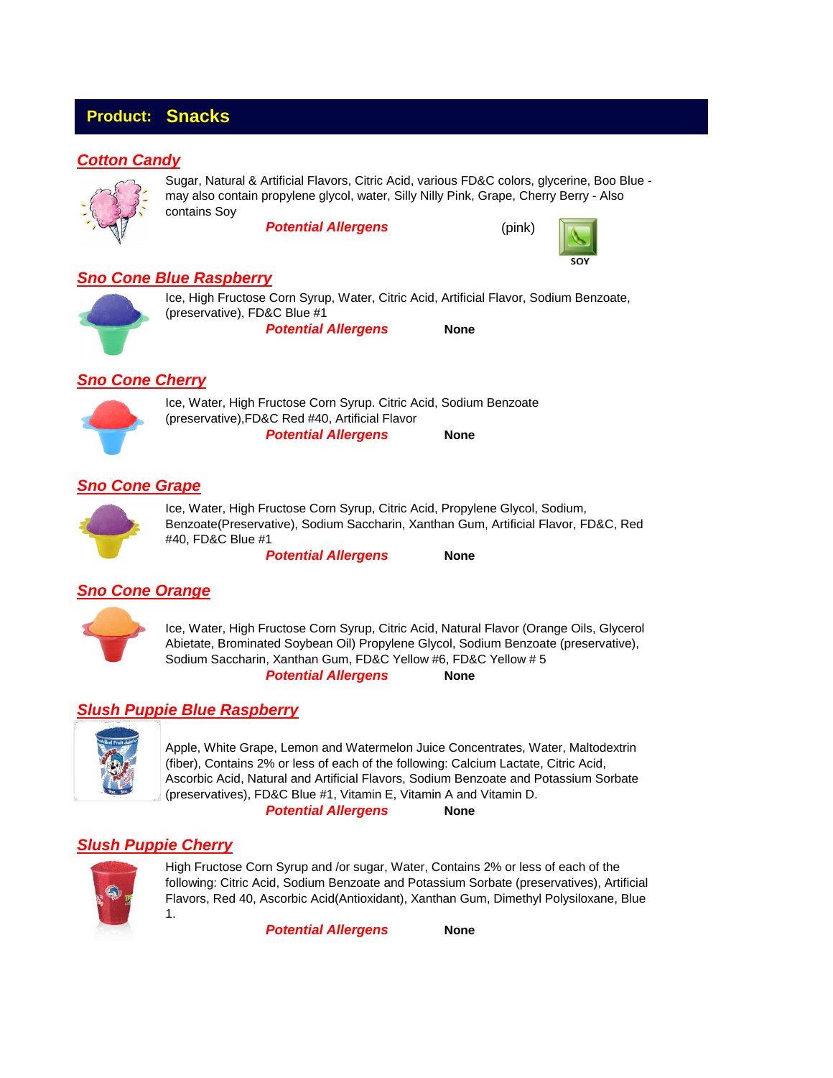# **Product: Snacks**

## *Cotton Candy*



Sugar, Natural & Artificial Flavors, Citric Acid, various FD&C colors, glycerine, Boo Blue may also contain propylene glycol, water, Silly Nilly Pink, Grape, Cherry Berry - Also contains Soy

*Potential Allergens*



#### *Sno Cone Blue Raspberry*

**None** Ice, High Fructose Corn Syrup, Water, Citric Acid, Artificial Flavor, Sodium Benzoate, (preservative), FD&C Blue #1 *Potential Allergens*

#### *Sno Cone Cherry*



**None** Ice, Water, High Fructose Corn Syrup. Citric Acid, Sodium Benzoate (preservative),FD&C Red #40, Artificial Flavor *Potential Allergens*

#### *Sno Cone Grape*



Ice, Water, High Fructose Corn Syrup, Citric Acid, Propylene Glycol, Sodium, Benzoate(Preservative), Sodium Saccharin, Xanthan Gum, Artificial Flavor, FD&C, Red #40, FD&C Blue #1

*Potential Allergens*

**None**

#### *Sno Cone Orange*



**None** Ice, Water, High Fructose Corn Syrup, Citric Acid, Natural Flavor (Orange Oils, Glycerol Abietate, Brominated Soybean Oil) Propylene Glycol, Sodium Benzoate (preservative), Sodium Saccharin, Xanthan Gum, FD&C Yellow #6, FD&C Yellow # 5 *Potential Allergens*

## *Slush Puppie Blue Raspberry*



**None** Apple, White Grape, Lemon and Watermelon Juice Concentrates, Water, Maltodextrin (fiber), Contains 2% or less of each of the following: Calcium Lactate, Citric Acid, Ascorbic Acid, Natural and Artificial Flavors, Sodium Benzoate and Potassium Sorbate (preservatives), FD&C Blue #1, Vitamin E, Vitamin A and Vitamin D. *Potential Allergens*

## *Slush Puppie Cherry*



High Fructose Corn Syrup and /or sugar, Water, Contains 2% or less of each of the following: Citric Acid, Sodium Benzoate and Potassium Sorbate (preservatives), Artificial Flavors, Red 40, Ascorbic Acid(Antioxidant), Xanthan Gum, Dimethyl Polysiloxane, Blue 1.

*Potential Allergens*

**None**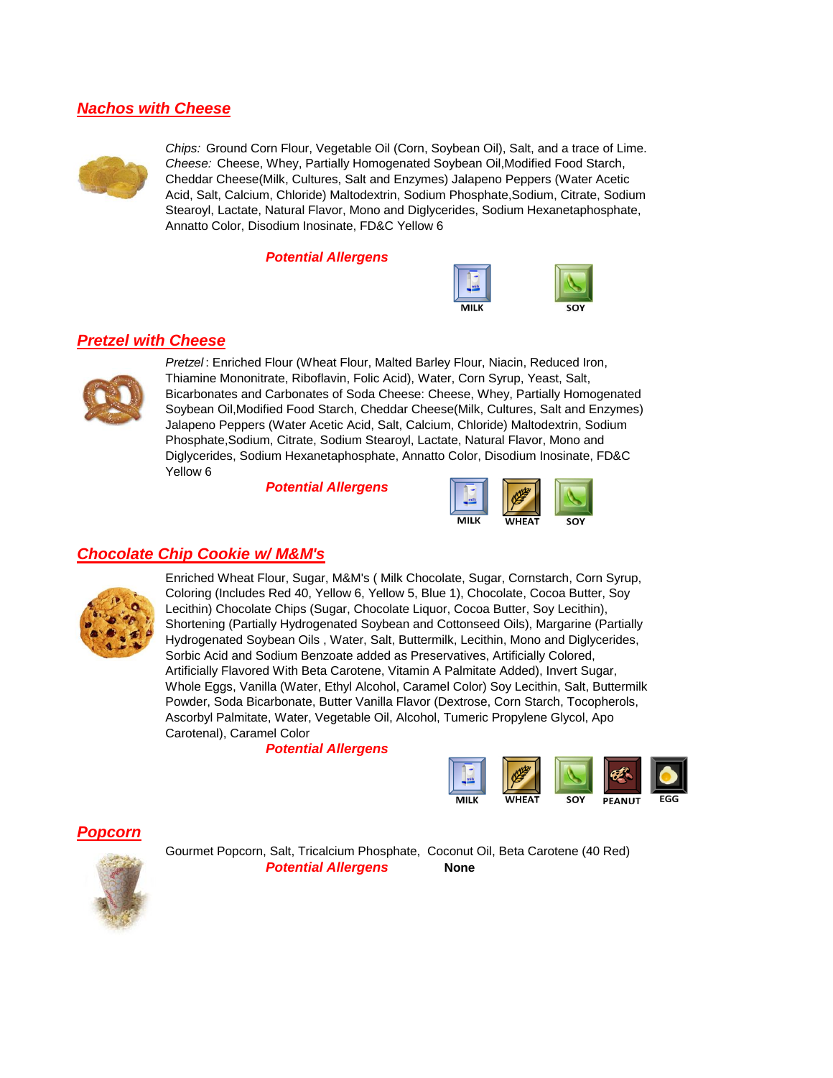#### *Nachos with Cheese*



*Chips:* Ground Corn Flour, Vegetable Oil (Corn, Soybean Oil), Salt, and a trace of Lime. *Cheese:* Cheese, Whey, Partially Homogenated Soybean Oil,Modified Food Starch, Cheddar Cheese(Milk, Cultures, Salt and Enzymes) Jalapeno Peppers (Water Acetic Acid, Salt, Calcium, Chloride) Maltodextrin, Sodium Phosphate,Sodium, Citrate, Sodium Stearoyl, Lactate, Natural Flavor, Mono and Diglycerides, Sodium Hexanetaphosphate, Annatto Color, Disodium Inosinate, FD&C Yellow 6

*Potential Allergens*



#### *Pretzel with Cheese*



*Pretzel* : Enriched Flour (Wheat Flour, Malted Barley Flour, Niacin, Reduced Iron, Thiamine Mononitrate, Riboflavin, Folic Acid), Water, Corn Syrup, Yeast, Salt, Bicarbonates and Carbonates of Soda Cheese: Cheese, Whey, Partially Homogenated Soybean Oil,Modified Food Starch, Cheddar Cheese(Milk, Cultures, Salt and Enzymes) Jalapeno Peppers (Water Acetic Acid, Salt, Calcium, Chloride) Maltodextrin, Sodium Phosphate,Sodium, Citrate, Sodium Stearoyl, Lactate, Natural Flavor, Mono and Diglycerides, Sodium Hexanetaphosphate, Annatto Color, Disodium Inosinate, FD&C Yellow 6

*Potential Allergens*



#### *Chocolate Chip Cookie w/ M&M's*



Enriched Wheat Flour, Sugar, M&M's ( Milk Chocolate, Sugar, Cornstarch, Corn Syrup, Coloring (Includes Red 40, Yellow 6, Yellow 5, Blue 1), Chocolate, Cocoa Butter, Soy Lecithin) Chocolate Chips (Sugar, Chocolate Liquor, Cocoa Butter, Soy Lecithin), Shortening (Partially Hydrogenated Soybean and Cottonseed Oils), Margarine (Partially Hydrogenated Soybean Oils , Water, Salt, Buttermilk, Lecithin, Mono and Diglycerides, Sorbic Acid and Sodium Benzoate added as Preservatives, Artificially Colored, Artificially Flavored With Beta Carotene, Vitamin A Palmitate Added), Invert Sugar, Whole Eggs, Vanilla (Water, Ethyl Alcohol, Caramel Color) Soy Lecithin, Salt, Buttermilk Powder, Soda Bicarbonate, Butter Vanilla Flavor (Dextrose, Corn Starch, Tocopherols, Ascorbyl Palmitate, Water, Vegetable Oil, Alcohol, Tumeric Propylene Glycol, Apo Carotenal), Caramel Color

*Potential Allergens*



#### *Popcorn*



Gourmet Popcorn, Salt, Tricalcium Phosphate, Coconut Oil, Beta Carotene (40 Red) *Potential Allergens* **None**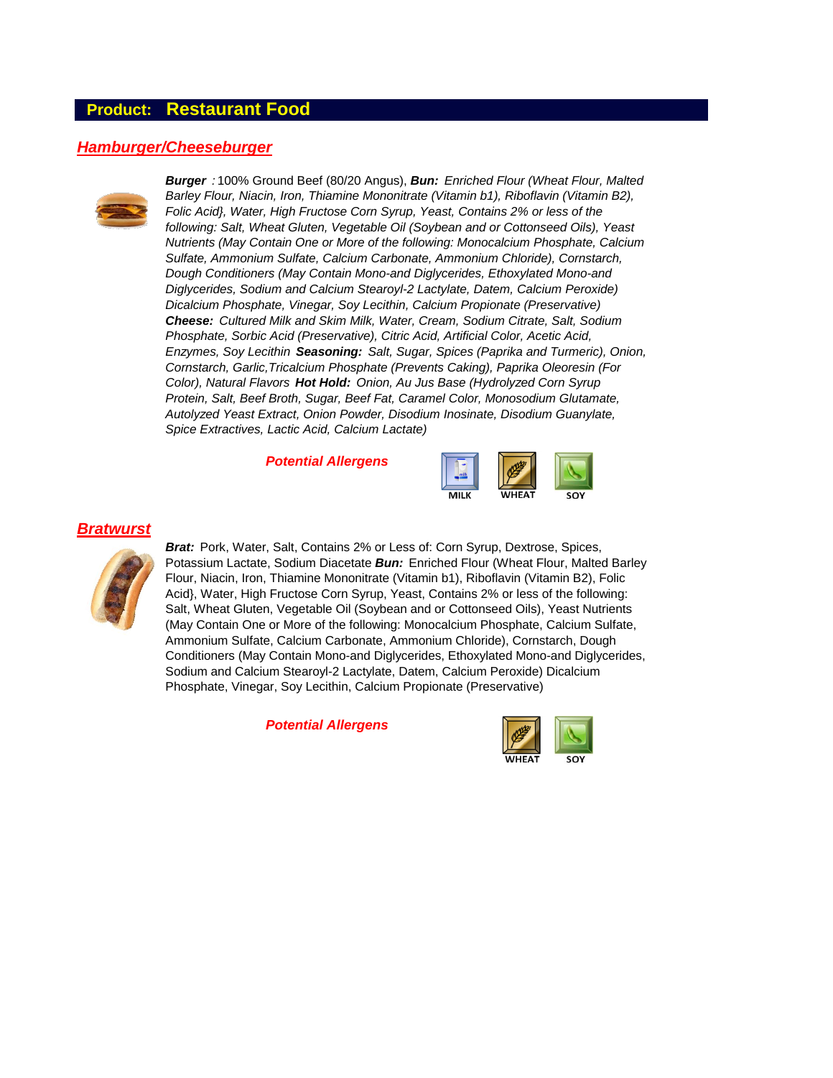#### **Product: Restaurant Food**

#### *Hamburger/Cheeseburger*



*Burger :* 100% Ground Beef (80/20 Angus), *Bun: Enriched Flour (Wheat Flour, Malted Barley Flour, Niacin, Iron, Thiamine Mononitrate (Vitamin b1), Riboflavin (Vitamin B2), Folic Acid}, Water, High Fructose Corn Syrup, Yeast, Contains 2% or less of the following: Salt, Wheat Gluten, Vegetable Oil (Soybean and or Cottonseed Oils), Yeast Nutrients (May Contain One or More of the following: Monocalcium Phosphate, Calcium Sulfate, Ammonium Sulfate, Calcium Carbonate, Ammonium Chloride), Cornstarch, Dough Conditioners (May Contain Mono-and Diglycerides, Ethoxylated Mono-and Diglycerides, Sodium and Calcium Stearoyl-2 Lactylate, Datem, Calcium Peroxide) Dicalcium Phosphate, Vinegar, Soy Lecithin, Calcium Propionate (Preservative) Cheese: Cultured Milk and Skim Milk, Water, Cream, Sodium Citrate, Salt, Sodium Phosphate, Sorbic Acid (Preservative), Citric Acid, Artificial Color, Acetic Acid, Enzymes, Soy Lecithin Seasoning: Salt, Sugar, Spices (Paprika and Turmeric), Onion, Cornstarch, Garlic,Tricalcium Phosphate (Prevents Caking), Paprika Oleoresin (For Color), Natural Flavors Hot Hold: Onion, Au Jus Base (Hydrolyzed Corn Syrup Protein, Salt, Beef Broth, Sugar, Beef Fat, Caramel Color, Monosodium Glutamate, Autolyzed Yeast Extract, Onion Powder, Disodium Inosinate, Disodium Guanylate, Spice Extractives, Lactic Acid, Calcium Lactate)*

*Potential Allergens*



#### *Bratwurst*



*Brat:* Pork, Water, Salt, Contains 2% or Less of: Corn Syrup, Dextrose, Spices, Potassium Lactate, Sodium Diacetate *Bun:* Enriched Flour (Wheat Flour, Malted Barley Flour, Niacin, Iron, Thiamine Mononitrate (Vitamin b1), Riboflavin (Vitamin B2), Folic Acid}, Water, High Fructose Corn Syrup, Yeast, Contains 2% or less of the following: Salt, Wheat Gluten, Vegetable Oil (Soybean and or Cottonseed Oils), Yeast Nutrients (May Contain One or More of the following: Monocalcium Phosphate, Calcium Sulfate, Ammonium Sulfate, Calcium Carbonate, Ammonium Chloride), Cornstarch, Dough Conditioners (May Contain Mono-and Diglycerides, Ethoxylated Mono-and Diglycerides, Sodium and Calcium Stearoyl-2 Lactylate, Datem, Calcium Peroxide) Dicalcium Phosphate, Vinegar, Soy Lecithin, Calcium Propionate (Preservative)

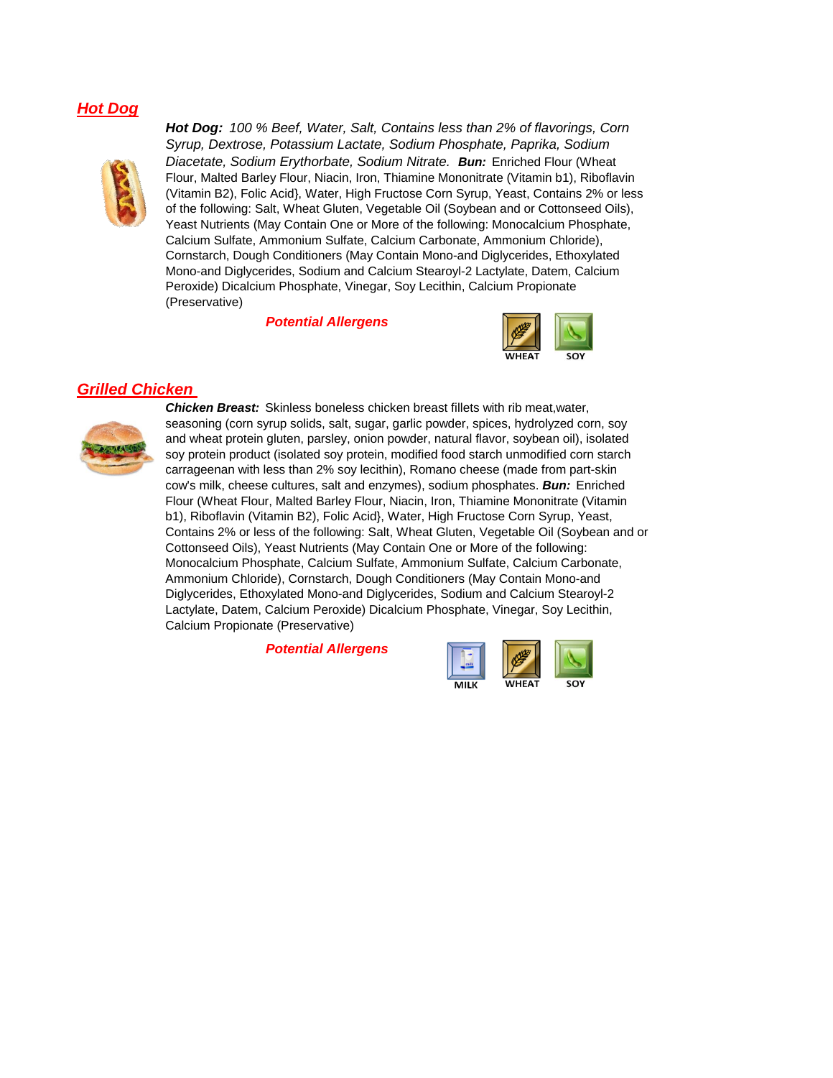#### *Hot Dog*



*Hot Dog: 100 % Beef, Water, Salt, Contains less than 2% of flavorings, Corn Syrup, Dextrose, Potassium Lactate, Sodium Phosphate, Paprika, Sodium Diacetate, Sodium Erythorbate, Sodium Nitrate. Bun:* Enriched Flour (Wheat Flour, Malted Barley Flour, Niacin, Iron, Thiamine Mononitrate (Vitamin b1), Riboflavin (Vitamin B2), Folic Acid}, Water, High Fructose Corn Syrup, Yeast, Contains 2% or less of the following: Salt, Wheat Gluten, Vegetable Oil (Soybean and or Cottonseed Oils), Yeast Nutrients (May Contain One or More of the following: Monocalcium Phosphate, Calcium Sulfate, Ammonium Sulfate, Calcium Carbonate, Ammonium Chloride), Cornstarch, Dough Conditioners (May Contain Mono-and Diglycerides, Ethoxylated Mono-and Diglycerides, Sodium and Calcium Stearoyl-2 Lactylate, Datem, Calcium Peroxide) Dicalcium Phosphate, Vinegar, Soy Lecithin, Calcium Propionate (Preservative)

 *Potential Allergens*



#### *Grilled Chicken*



*Chicken Breast:* Skinless boneless chicken breast fillets with rib meat,water, seasoning (corn syrup solids, salt, sugar, garlic powder, spices, hydrolyzed corn, soy and wheat protein gluten, parsley, onion powder, natural flavor, soybean oil), isolated soy protein product (isolated soy protein, modified food starch unmodified corn starch carrageenan with less than 2% soy lecithin), Romano cheese (made from part-skin cow's milk, cheese cultures, salt and enzymes), sodium phosphates. *Bun:* Enriched Flour (Wheat Flour, Malted Barley Flour, Niacin, Iron, Thiamine Mononitrate (Vitamin b1), Riboflavin (Vitamin B2), Folic Acid}, Water, High Fructose Corn Syrup, Yeast, Contains 2% or less of the following: Salt, Wheat Gluten, Vegetable Oil (Soybean and or Cottonseed Oils), Yeast Nutrients (May Contain One or More of the following: Monocalcium Phosphate, Calcium Sulfate, Ammonium Sulfate, Calcium Carbonate, Ammonium Chloride), Cornstarch, Dough Conditioners (May Contain Mono-and Diglycerides, Ethoxylated Mono-and Diglycerides, Sodium and Calcium Stearoyl-2 Lactylate, Datem, Calcium Peroxide) Dicalcium Phosphate, Vinegar, Soy Lecithin, Calcium Propionate (Preservative)

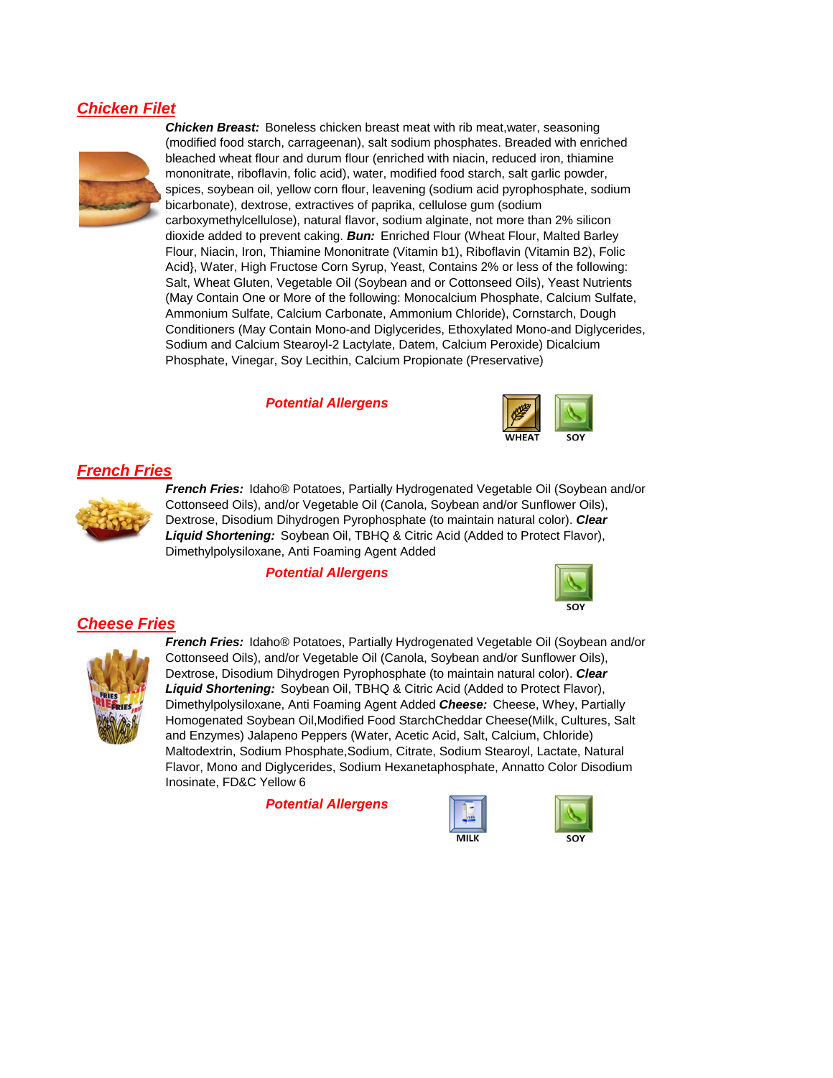#### *Chicken Filet*



*Chicken Breast:* Boneless chicken breast meat with rib meat,water, seasoning (modified food starch, carrageenan), salt sodium phosphates. Breaded with enriched bleached wheat flour and durum flour (enriched with niacin, reduced iron, thiamine mononitrate, riboflavin, folic acid), water, modified food starch, salt garlic powder, spices, soybean oil, yellow corn flour, leavening (sodium acid pyrophosphate, sodium bicarbonate), dextrose, extractives of paprika, cellulose gum (sodium carboxymethylcellulose), natural flavor, sodium alginate, not more than 2% silicon dioxide added to prevent caking. *Bun:* Enriched Flour (Wheat Flour, Malted Barley Flour, Niacin, Iron, Thiamine Mononitrate (Vitamin b1), Riboflavin (Vitamin B2), Folic Acid}, Water, High Fructose Corn Syrup, Yeast, Contains 2% or less of the following: Salt, Wheat Gluten, Vegetable Oil (Soybean and or Cottonseed Oils), Yeast Nutrients (May Contain One or More of the following: Monocalcium Phosphate, Calcium Sulfate, Ammonium Sulfate, Calcium Carbonate, Ammonium Chloride), Cornstarch, Dough Conditioners (May Contain Mono-and Diglycerides, Ethoxylated Mono-and Diglycerides, Sodium and Calcium Stearoyl-2 Lactylate, Datem, Calcium Peroxide) Dicalcium Phosphate, Vinegar, Soy Lecithin, Calcium Propionate (Preservative)

*Potential Allergens*



#### *French Fries*



*French Fries:* Idaho® Potatoes, Partially Hydrogenated Vegetable Oil (Soybean and/or Cottonseed Oils), and/or Vegetable Oil (Canola, Soybean and/or Sunflower Oils), Dextrose, Disodium Dihydrogen Pyrophosphate (to maintain natural color). *Clear Liquid Shortening:* Soybean Oil, TBHQ & Citric Acid (Added to Protect Flavor), Dimethylpolysiloxane, Anti Foaming Agent Added

*Potential Allergens*



#### *Cheese Fries*



*French Fries:* Idaho® Potatoes, Partially Hydrogenated Vegetable Oil (Soybean and/or Cottonseed Oils), and/or Vegetable Oil (Canola, Soybean and/or Sunflower Oils), Dextrose, Disodium Dihydrogen Pyrophosphate (to maintain natural color). *Clear Liquid Shortening:* Soybean Oil, TBHQ & Citric Acid (Added to Protect Flavor), Dimethylpolysiloxane, Anti Foaming Agent Added *Cheese:* Cheese, Whey, Partially Homogenated Soybean Oil,Modified Food StarchCheddar Cheese(Milk, Cultures, Salt and Enzymes) Jalapeno Peppers (Water, Acetic Acid, Salt, Calcium, Chloride) Maltodextrin, Sodium Phosphate,Sodium, Citrate, Sodium Stearoyl, Lactate, Natural Flavor, Mono and Diglycerides, Sodium Hexanetaphosphate, Annatto Color Disodium Inosinate, FD&C Yellow 6



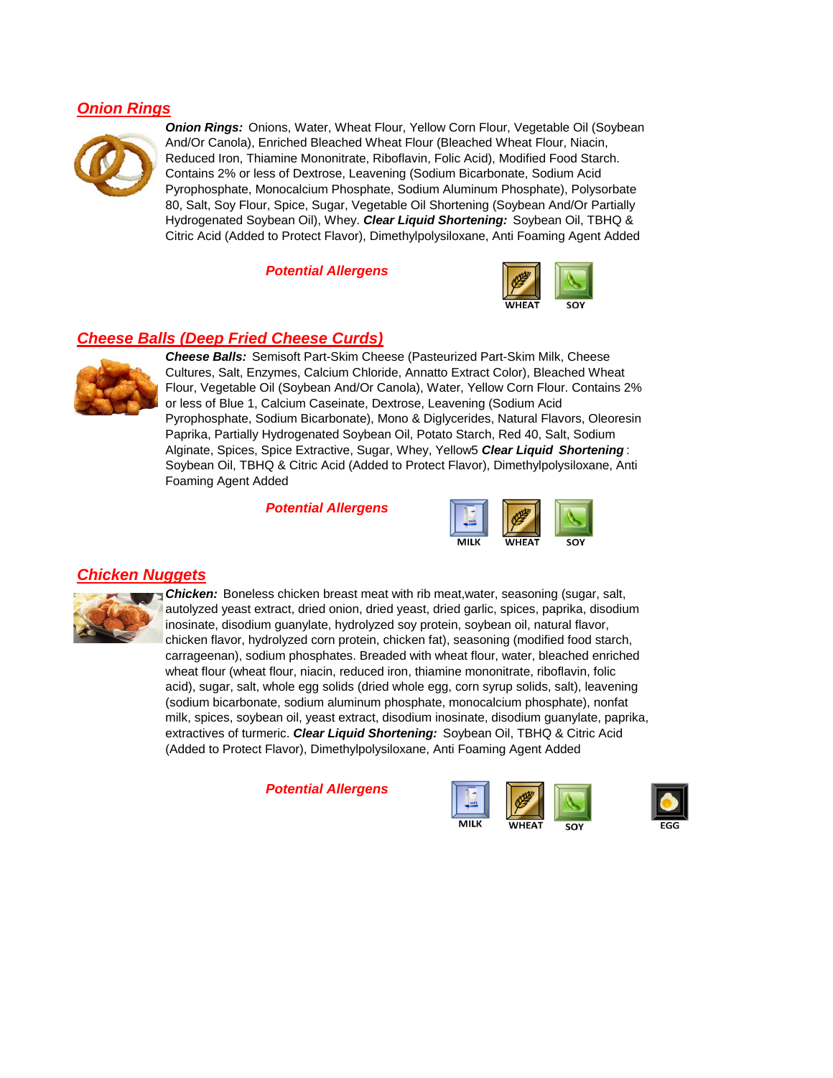#### *Onion Rings*



*Onion Rings:* Onions, Water, Wheat Flour, Yellow Corn Flour, Vegetable Oil (Soybean And/Or Canola), Enriched Bleached Wheat Flour (Bleached Wheat Flour, Niacin, Reduced Iron, Thiamine Mononitrate, Riboflavin, Folic Acid), Modified Food Starch. Contains 2% or less of Dextrose, Leavening (Sodium Bicarbonate, Sodium Acid Pyrophosphate, Monocalcium Phosphate, Sodium Aluminum Phosphate), Polysorbate 80, Salt, Soy Flour, Spice, Sugar, Vegetable Oil Shortening (Soybean And/Or Partially Hydrogenated Soybean Oil), Whey. *Clear Liquid Shortening:* Soybean Oil, TBHQ & Citric Acid (Added to Protect Flavor), Dimethylpolysiloxane, Anti Foaming Agent Added

*Potential Allergens*



#### *Cheese Balls (Deep Fried Cheese Curds)*



*Cheese Balls:* Semisoft Part-Skim Cheese (Pasteurized Part-Skim Milk, Cheese Cultures, Salt, Enzymes, Calcium Chloride, Annatto Extract Color), Bleached Wheat Flour, Vegetable Oil (Soybean And/Or Canola), Water, Yellow Corn Flour. Contains 2% or less of Blue 1, Calcium Caseinate, Dextrose, Leavening (Sodium Acid Pyrophosphate, Sodium Bicarbonate), Mono & Diglycerides, Natural Flavors, Oleoresin Paprika, Partially Hydrogenated Soybean Oil, Potato Starch, Red 40, Salt, Sodium Alginate, Spices, Spice Extractive, Sugar, Whey, Yellow5 *Clear Liquid Shortening* : Soybean Oil, TBHQ & Citric Acid (Added to Protect Flavor), Dimethylpolysiloxane, Anti Foaming Agent Added

*Potential Allergens*



## *Chicken Nuggets*



**Chicken:** Boneless chicken breast meat with rib meat, water, seasoning (sugar, salt, autolyzed yeast extract, dried onion, dried yeast, dried garlic, spices, paprika, disodium inosinate, disodium guanylate, hydrolyzed soy protein, soybean oil, natural flavor, chicken flavor, hydrolyzed corn protein, chicken fat), seasoning (modified food starch, carrageenan), sodium phosphates. Breaded with wheat flour, water, bleached enriched wheat flour (wheat flour, niacin, reduced iron, thiamine mononitrate, riboflavin, folic acid), sugar, salt, whole egg solids (dried whole egg, corn syrup solids, salt), leavening (sodium bicarbonate, sodium aluminum phosphate, monocalcium phosphate), nonfat milk, spices, soybean oil, yeast extract, disodium inosinate, disodium guanylate, paprika, extractives of turmeric. *Clear Liquid Shortening:* Soybean Oil, TBHQ & Citric Acid (Added to Protect Flavor), Dimethylpolysiloxane, Anti Foaming Agent Added



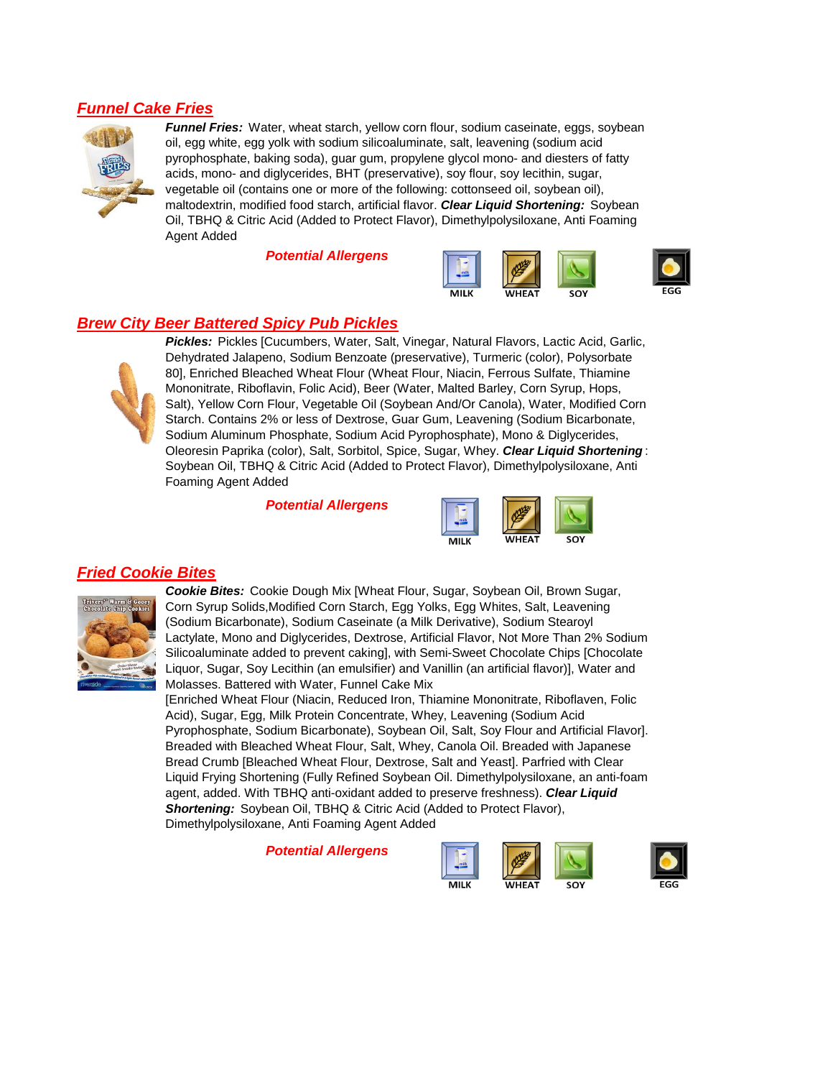#### *Funnel Cake Fries*



*Funnel Fries:* Water, wheat starch, yellow corn flour, sodium caseinate, eggs, soybean oil, egg white, egg yolk with sodium silicoaluminate, salt, leavening (sodium acid pyrophosphate, baking soda), guar gum, propylene glycol mono- and diesters of fatty acids, mono- and diglycerides, BHT (preservative), soy flour, soy lecithin, sugar, vegetable oil (contains one or more of the following: cottonseed oil, soybean oil), maltodextrin, modified food starch, artificial flavor. *Clear Liquid Shortening:* Soybean Oil, TBHQ & Citric Acid (Added to Protect Flavor), Dimethylpolysiloxane, Anti Foaming Agent Added

*Potential Allergens*





#### *Brew City Beer Battered Spicy Pub Pickles*



*Pickles:* Pickles [Cucumbers, Water, Salt, Vinegar, Natural Flavors, Lactic Acid, Garlic, Dehydrated Jalapeno, Sodium Benzoate (preservative), Turmeric (color), Polysorbate 80], Enriched Bleached Wheat Flour (Wheat Flour, Niacin, Ferrous Sulfate, Thiamine Mononitrate, Riboflavin, Folic Acid), Beer (Water, Malted Barley, Corn Syrup, Hops, Salt), Yellow Corn Flour, Vegetable Oil (Soybean And/Or Canola), Water, Modified Corn Starch. Contains 2% or less of Dextrose, Guar Gum, Leavening (Sodium Bicarbonate, Sodium Aluminum Phosphate, Sodium Acid Pyrophosphate), Mono & Diglycerides, Oleoresin Paprika (color), Salt, Sorbitol, Spice, Sugar, Whey. *Clear Liquid Shortening* : Soybean Oil, TBHQ & Citric Acid (Added to Protect Flavor), Dimethylpolysiloxane, Anti Foaming Agent Added

*Potential Allergens*



## *Fried Cookie Bites*



*Cookie Bites:* Cookie Dough Mix [Wheat Flour, Sugar, Soybean Oil, Brown Sugar, Corn Syrup Solids,Modified Corn Starch, Egg Yolks, Egg Whites, Salt, Leavening (Sodium Bicarbonate), Sodium Caseinate (a Milk Derivative), Sodium Stearoyl Lactylate, Mono and Diglycerides, Dextrose, Artificial Flavor, Not More Than 2% Sodium Silicoaluminate added to prevent caking], with Semi-Sweet Chocolate Chips [Chocolate Liquor, Sugar, Soy Lecithin (an emulsifier) and Vanillin (an artificial flavor)], Water and Molasses. Battered with Water, Funnel Cake Mix

[Enriched Wheat Flour (Niacin, Reduced Iron, Thiamine Mononitrate, Riboflaven, Folic Acid), Sugar, Egg, Milk Protein Concentrate, Whey, Leavening (Sodium Acid Pyrophosphate, Sodium Bicarbonate), Soybean Oil, Salt, Soy Flour and Artificial Flavor]. Breaded with Bleached Wheat Flour, Salt, Whey, Canola Oil. Breaded with Japanese Bread Crumb [Bleached Wheat Flour, Dextrose, Salt and Yeast]. Parfried with Clear Liquid Frying Shortening (Fully Refined Soybean Oil. Dimethylpolysiloxane, an anti-foam agent, added. With TBHQ anti-oxidant added to preserve freshness). *Clear Liquid Shortening:* Soybean Oil, TBHQ & Citric Acid (Added to Protect Flavor), Dimethylpolysiloxane, Anti Foaming Agent Added